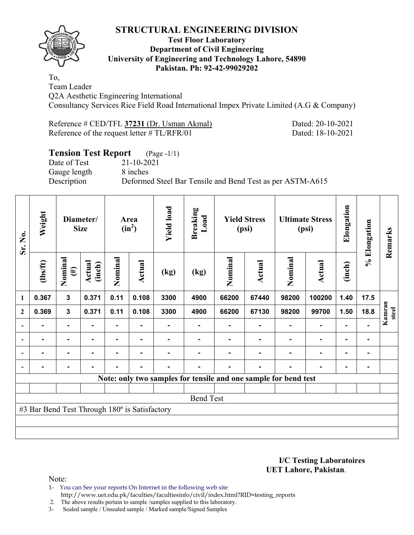

## **Test Floor Laboratory Department of Civil Engineering University of Engineering and Technology Lahore, 54890 Pakistan. Ph: 92-42-99029202**

To, Team Leader Q2A Aesthetic Engineering International Consultancy Services Rice Field Road International Impex Private Limited (A.G & Company)

| Reference # CED/TFL 37231 (Dr. Usman Akmal)    |  |
|------------------------------------------------|--|
| Reference of the request letter $\# TL/RFR/01$ |  |

Dated: 20-10-2021 Dated: 18-10-2021

#### **Tension Test Report** (Page -1/1) Date of Test 21-10-2021

Gauge length 8 inches

Description Deformed Steel Bar Tensile and Bend Test as per ASTM-A615

| Sr. No.                  | Weight                                        | Diameter/<br><b>Size</b> |                          | Area<br>$(in^2)$ |               | <b>Yield load</b> | <b>Breaking</b><br>Load                                         | <b>Yield Stress</b><br>(psi) |        | <b>Ultimate Stress</b><br>(psi) |        | Elongation     | % Elongation | Remarks         |
|--------------------------|-----------------------------------------------|--------------------------|--------------------------|------------------|---------------|-------------------|-----------------------------------------------------------------|------------------------------|--------|---------------------------------|--------|----------------|--------------|-----------------|
|                          | $\frac{2}{10}$                                | Nominal<br>$(\#)$        | Actual<br>(inch)         | Nominal          | <b>Actual</b> | (kg)              | (kg)                                                            | Nominal                      | Actual | Nominal                         | Actual | (inch)         |              |                 |
| $\mathbf{1}$             | 0.367                                         | 3                        | 0.371                    | 0.11             | 0.108         | 3300              | 4900                                                            | 66200                        | 67440  | 98200                           | 100200 | 1.40           | 17.5         |                 |
| $\mathbf{2}$             | 0.369                                         | $\mathbf{3}$             | 0.371                    | 0.11             | 0.108         | 3300              | 4900                                                            | 66200                        | 67130  | 98200                           | 99700  | 1.50           | 18.8         | Kamran<br>steel |
|                          |                                               | ۰                        |                          |                  |               |                   |                                                                 |                              |        |                                 |        |                |              |                 |
| $\overline{\phantom{0}}$ | $\blacksquare$                                | ۰                        |                          | -                |               |                   |                                                                 |                              |        |                                 | ٠      | ۰              |              |                 |
| $\blacksquare$           | $\blacksquare$                                | $\blacksquare$           | $\overline{\phantom{0}}$ | $\blacksquare$   |               |                   |                                                                 |                              |        |                                 | ٠      | $\blacksquare$ |              |                 |
|                          |                                               | ۰                        |                          | -                | ٠             | $\blacksquare$    |                                                                 |                              | -      | $\blacksquare$                  | ۰      | $\blacksquare$ |              |                 |
|                          |                                               |                          |                          |                  |               |                   | Note: only two samples for tensile and one sample for bend test |                              |        |                                 |        |                |              |                 |
|                          |                                               |                          |                          |                  |               |                   |                                                                 |                              |        |                                 |        |                |              |                 |
|                          |                                               |                          |                          |                  |               |                   | <b>Bend Test</b>                                                |                              |        |                                 |        |                |              |                 |
|                          | #3 Bar Bend Test Through 180° is Satisfactory |                          |                          |                  |               |                   |                                                                 |                              |        |                                 |        |                |              |                 |
|                          |                                               |                          |                          |                  |               |                   |                                                                 |                              |        |                                 |        |                |              |                 |
|                          |                                               |                          |                          |                  |               |                   |                                                                 |                              |        |                                 |        |                |              |                 |

**I/C Testing Laboratoires UET Lahore, Pakistan**.

Note:

1- You can See your reports On Internet in the following web site http://www.uet.edu.pk/faculties/facultiesinfo/civil/index.html?RID=testing\_reports

2. The above results pertain to sample /samples supplied to this laboratory.

3- Sealed sample / Unsealed sample / Marked sample/Signed Samples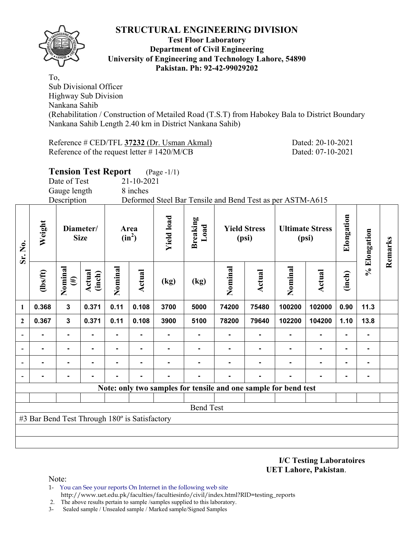

#### **Test Floor Laboratory Department of Civil Engineering University of Engineering and Technology Lahore, 54890 Pakistan. Ph: 92-42-99029202**

To, Sub Divisional Officer Highway Sub Division Nankana Sahib (Rehabilitation / Construction of Metailed Road (T.S.T) from Habokey Bala to District Boundary Nankana Sahib Length 2.40 km in District Nankana Sahib)

Reference # CED/TFL **37232** (Dr. Usman Akmal) Dated: 20-10-2021 Reference of the request letter # 1420/M/CB Dated: 07-10-2021

|            | <b>Tension Test Report</b> |                        |      |                                       | $(Page - 1/1)$                                            |                 |      |                              |  |                                 |          |  |
|------------|----------------------------|------------------------|------|---------------------------------------|-----------------------------------------------------------|-----------------|------|------------------------------|--|---------------------------------|----------|--|
|            | Date of Test               |                        |      | 21-10-2021                            |                                                           |                 |      |                              |  |                                 |          |  |
|            | Gauge length               |                        |      | 8 inches                              |                                                           |                 |      |                              |  |                                 |          |  |
|            | Description                |                        |      |                                       | Deformed Steel Bar Tensile and Bend Test as per ASTM-A615 |                 |      |                              |  |                                 |          |  |
| Weight     | Diameter/<br><b>Size</b>   |                        |      | <b>Yield load</b><br>Area<br>$(in^2)$ |                                                           | Breaking<br>oad |      | <b>Yield Stress</b><br>(psi) |  | <b>Ultimate Stress</b><br>(psi) | Elongati |  |
| $s$ $f(t)$ | nina<br>#                  | $\widehat{\mathsf{e}}$ | nina | tual                                  | $(l_{\alpha})$                                            | $(l_{\alpha})$  | aina | a                            |  |                                 |          |  |

| Sr. No.        | Weigl                                         | Diameter/<br><b>Size</b> |                  | Area<br>$(in^2)$ |               | <b>Yield</b> l | <b>Breaki</b><br>$\mathbf{L}\mathbf{oa}$ | <b>Yield Stress</b><br>(psi)                                    |               | <b>Ultimate Stress</b><br>(psi) |               | Elongat | % Elongation   | Remarks |
|----------------|-----------------------------------------------|--------------------------|------------------|------------------|---------------|----------------|------------------------------------------|-----------------------------------------------------------------|---------------|---------------------------------|---------------|---------|----------------|---------|
|                | $\frac{2}{10}$                                | Nominal<br>$(\#)$        | Actual<br>(inch) | Nominal          | <b>Actual</b> | (kg)           | (kg)                                     | Nominal                                                         | <b>Actual</b> | Nominal                         | <b>Actual</b> | (inch)  |                |         |
| $\mathbf{1}$   | 0.368                                         | $\mathbf{3}$             | 0.371            | 0.11             | 0.108         | 3700           | 5000                                     | 74200                                                           | 75480         | 100200                          | 102000        | 0.90    | 11.3           |         |
| $\overline{2}$ | 0.367                                         | $\mathbf 3$              | 0.371            | 0.11             | 0.108         | 3900           | 5100                                     | 78200                                                           | 79640         | 102200                          | 104200        | 1.10    | 13.8           |         |
|                |                                               | ۰                        |                  | ۰                |               |                |                                          |                                                                 |               |                                 |               |         | $\blacksquare$ |         |
|                |                                               |                          |                  | $\blacksquare$   |               |                |                                          |                                                                 |               |                                 |               |         |                |         |
|                |                                               |                          |                  |                  |               |                |                                          |                                                                 |               |                                 |               |         |                |         |
|                |                                               |                          |                  |                  |               |                |                                          |                                                                 |               |                                 |               |         |                |         |
|                |                                               |                          |                  |                  |               |                |                                          | Note: only two samples for tensile and one sample for bend test |               |                                 |               |         |                |         |
|                |                                               |                          |                  |                  |               |                |                                          |                                                                 |               |                                 |               |         |                |         |
|                |                                               |                          |                  |                  |               |                | <b>Bend Test</b>                         |                                                                 |               |                                 |               |         |                |         |
|                | #3 Bar Bend Test Through 180° is Satisfactory |                          |                  |                  |               |                |                                          |                                                                 |               |                                 |               |         |                |         |
|                |                                               |                          |                  |                  |               |                |                                          |                                                                 |               |                                 |               |         |                |         |
|                |                                               |                          |                  |                  |               |                |                                          |                                                                 |               |                                 |               |         |                |         |

**I/C Testing Laboratoires UET Lahore, Pakistan**.

Note:

- 1- You can See your reports On Internet in the following web site http://www.uet.edu.pk/faculties/facultiesinfo/civil/index.html?RID=testing\_reports
- 2. The above results pertain to sample /samples supplied to this laboratory.
- 3- Sealed sample / Unsealed sample / Marked sample/Signed Samples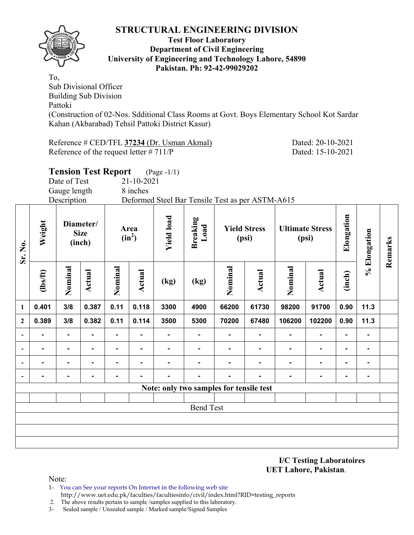

#### **Test Floor Laboratory Department of Civil Engineering University of Engineering and Technology Lahore, 54890 Pakistan. Ph: 92-42-99029202**

To, Sub Divisional Officer Building Sub Division Pattoki (Construction of 02-Nos. Sdditional Class Rooms at Govt. Boys Elementary School Kot Sardar Kahan (Akbarabad) Tehsil Pattoki District Kasur)

Reference # CED/TFL **37234** (Dr. Usman Akmal) Dated: 20-10-2021 Reference of the request letter # 711/P Dated: 15-10-2021

**Remarks** 

Remarks

|                              |          |                                    | <b>Tension Test Report</b> |                  |            | $(Page - 1/1)$    |                                                  |                              |        |                |                                 |                |              |  |  |
|------------------------------|----------|------------------------------------|----------------------------|------------------|------------|-------------------|--------------------------------------------------|------------------------------|--------|----------------|---------------------------------|----------------|--------------|--|--|
|                              |          | Date of Test                       |                            |                  | 21-10-2021 |                   |                                                  |                              |        |                |                                 |                |              |  |  |
|                              |          | Gauge length                       |                            |                  | 8 inches   |                   |                                                  |                              |        |                |                                 |                |              |  |  |
|                              |          | Description                        |                            |                  |            |                   | Deformed Steel Bar Tensile Test as per ASTM-A615 |                              |        |                |                                 |                |              |  |  |
| Sr. No.                      | Weight   | Diameter/<br><b>Size</b><br>(inch) |                            | Area<br>$(in^2)$ |            | <b>Yield load</b> | Breaking<br>Load                                 | <b>Yield Stress</b><br>(psi) |        |                | <b>Ultimate Stress</b><br>(psi) | Elongation     | % Elongation |  |  |
|                              | (1bs/ft) | Nominal                            | Actual                     | Nominal          | Actual     | (kg)              | (kg)                                             | Nominal                      | Actual | Nominal        | Actual                          | (inch)         |              |  |  |
| $\mathbf{1}$                 | 0.401    | 3/8                                | 0.387                      | 0.11             | 0.118      | 3300              | 4900                                             | 66200                        | 61730  | 98200          | 91700                           | 0.90           | 11.3         |  |  |
| $\boldsymbol{2}$             | 0.389    | 3/8                                | 0.382                      | 0.11             | 0.114      | 3500              | 5300                                             | 70200                        | 67480  | 106200         | 102200                          | 0.90           | 11.3         |  |  |
| $\qquad \qquad \blacksquare$ |          | ۰                                  |                            | ۰                |            |                   | $\blacksquare$                                   |                              |        | $\blacksquare$ |                                 | $\blacksquare$ |              |  |  |
| $\overline{\phantom{a}}$     |          | $\blacksquare$                     | ۰.                         | ۰                | -          |                   | $\blacksquare$                                   |                              |        | ۰              |                                 | -              |              |  |  |
| $\blacksquare$               |          | ۰.                                 |                            | $\blacksquare$   |            |                   | $\blacksquare$                                   |                              |        | $\blacksquare$ |                                 |                |              |  |  |
|                              |          |                                    |                            |                  |            |                   | $\blacksquare$                                   |                              |        | ٠              |                                 |                |              |  |  |
|                              |          |                                    |                            |                  |            |                   | Note: only two samples for tensile test          |                              |        |                |                                 |                |              |  |  |
|                              |          |                                    |                            |                  |            |                   | <b>Bend Test</b>                                 |                              |        |                |                                 |                |              |  |  |
|                              |          |                                    |                            |                  |            |                   |                                                  |                              |        |                |                                 |                |              |  |  |
|                              |          |                                    |                            |                  |            |                   |                                                  |                              |        |                |                                 |                |              |  |  |

**I/C Testing Laboratoires UET Lahore, Pakistan**.

Note:

- 1- You can See your reports On Internet in the following web site http://www.uet.edu.pk/faculties/facultiesinfo/civil/index.html?RID=testing\_reports
- 2. The above results pertain to sample /samples supplied to this laboratory.
- 3- Sealed sample / Unsealed sample / Marked sample/Signed Samples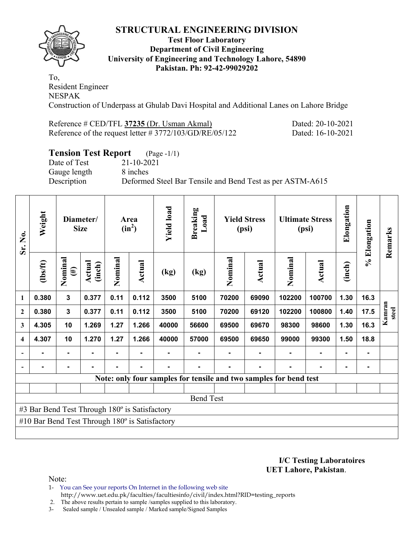

### **Test Floor Laboratory Department of Civil Engineering University of Engineering and Technology Lahore, 54890 Pakistan. Ph: 92-42-99029202**

To, Resident Engineer NESPAK Construction of Underpass at Ghulab Davi Hospital and Additional Lanes on Lahore Bridge

| Reference # CED/TFL 37235 (Dr. Usman Akmal)                |  |
|------------------------------------------------------------|--|
| Reference of the request letter $\# 3772/103/GD/RE/05/122$ |  |

Dated: 20-10-2021 Dated: 16-10-2021

# **Tension Test Report** (Page -1/1)

Date of Test 21-10-2021 Gauge length 8 inches

Description Deformed Steel Bar Tensile and Bend Test as per ASTM-A615

| Sr. No.                 | Weight                                                | Diameter/<br><b>Size</b> |                  | Area<br>$(in^2)$ |        | <b>Yield load</b> | <b>Breaking</b><br>Load | <b>Yield Stress</b><br>(psi) |        | <b>Ultimate Stress</b><br>(psi)                                   |               | Elongation     | % Elongation | Remarks         |
|-------------------------|-------------------------------------------------------|--------------------------|------------------|------------------|--------|-------------------|-------------------------|------------------------------|--------|-------------------------------------------------------------------|---------------|----------------|--------------|-----------------|
|                         | $\frac{2}{10}$                                        | Nominal<br>$(\#)$        | Actual<br>(inch) | Nominal          | Actual | (kg)              | (kg)                    | Nominal                      | Actual | Nominal                                                           | <b>Actual</b> | (inch)         |              |                 |
| 1                       | 0.380                                                 | $\mathbf{3}$             | 0.377            | 0.11             | 0.112  | 3500              | 5100                    | 70200                        | 69090  | 102200                                                            | 100700        | 1.30           | 16.3         |                 |
| $\boldsymbol{2}$        | 0.380                                                 | $\overline{\mathbf{3}}$  | 0.377            | 0.11             | 0.112  | 3500              | 5100                    | 70200                        | 69120  | 102200                                                            | 100800        | 1.40           | 17.5         | Kamran<br>steel |
| 3                       | 4.305                                                 | 10                       | 1.269            | 1.27             | 1.266  | 40000             | 56600                   | 69500                        | 69670  | 98300                                                             | 98600         | 1.30           | 16.3         |                 |
| $\overline{\mathbf{4}}$ | 4.307                                                 | 10                       | 1.270            | 1.27             | 1.266  | 40000             | 57000                   | 69500                        | 69650  | 99000                                                             | 99300         | 1.50           | 18.8         |                 |
|                         |                                                       | $\blacksquare$           |                  | Ξ.               |        |                   |                         |                              |        |                                                                   |               | $\blacksquare$ |              |                 |
|                         |                                                       | ۰                        |                  |                  |        |                   |                         |                              |        |                                                                   |               |                |              |                 |
|                         |                                                       |                          |                  |                  |        |                   |                         |                              |        | Note: only four samples for tensile and two samples for bend test |               |                |              |                 |
|                         |                                                       |                          |                  |                  |        |                   |                         |                              |        |                                                                   |               |                |              |                 |
|                         |                                                       |                          |                  |                  |        |                   | <b>Bend Test</b>        |                              |        |                                                                   |               |                |              |                 |
|                         | #3 Bar Bend Test Through 180° is Satisfactory         |                          |                  |                  |        |                   |                         |                              |        |                                                                   |               |                |              |                 |
|                         | #10 Bar Bend Test Through $180^\circ$ is Satisfactory |                          |                  |                  |        |                   |                         |                              |        |                                                                   |               |                |              |                 |
|                         |                                                       |                          |                  |                  |        |                   |                         |                              |        |                                                                   |               |                |              |                 |

**I/C Testing Laboratoires UET Lahore, Pakistan**.

Note:

- 1- You can See your reports On Internet in the following web site
- http://www.uet.edu.pk/faculties/facultiesinfo/civil/index.html?RID=testing\_reports
- 2. The above results pertain to sample /samples supplied to this laboratory.
- 3- Sealed sample / Unsealed sample / Marked sample/Signed Samples